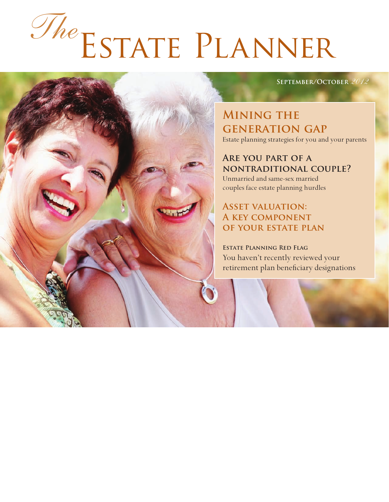# Estate Planner *The*

#### **September/October** *2012*

**Mining the generation gap** Estate planning strategies for you and your parents

#### **Are you part of a nontraditional couple?**

Unmarried and same-sex married couples face estate planning hurdles

#### **Asset valuation: A key component of your estate plan**

**Estate Planning Red Flag** You haven't recently reviewed your retirement plan beneficiary designations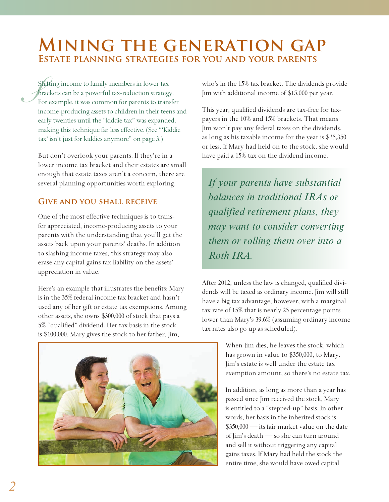## **Mining the generation gap Estate planning strategies for you and your parents**

 $\mathcal{S}_{\text{F}_{\text{R}}}^{\text{S}}$ Shifting income to family members in lower tax brackets can be a powerful tax-reduction strategy. For example, it was common for parents to transfer income-producing assets to children in their teens and early twenties until the "kiddie tax" was expanded, making this technique far less effective. (See "'Kiddie tax' isn't just for kiddies anymore" on page 3.)

But don't overlook your parents. If they're in a lower income tax bracket and their estates are small enough that estate taxes aren't a concern, there are several planning opportunities worth exploring.

#### **Give and you shall receive**

One of the most effective techniques is to transfer appreciated, income-producing assets to your parents with the understanding that you'll get the assets back upon your parents' deaths. In addition to slashing income taxes, this strategy may also erase any capital gains tax liability on the assets' appreciation in value.

Here's an example that illustrates the benefits: Mary is in the 35% federal income tax bracket and hasn't used any of her gift or estate tax exemptions. Among other assets, she owns \$300,000 of stock that pays a 5% "qualified" dividend. Her tax basis in the stock is \$100,000. Mary gives the stock to her father, Jim,

who's in the 15% tax bracket. The dividends provide Jim with additional income of \$15,000 per year.

This year, qualified dividends are tax-free for taxpayers in the 10% and 15% brackets. That means Jim won't pay any federal taxes on the dividends, as long as his taxable income for the year is \$35,350 or less. If Mary had held on to the stock, she would have paid a 15% tax on the dividend income.

*If your parents have substantial balances in traditional IRAs or qualified retirement plans, they may want to consider converting them or rolling them over into a Roth IRA.*

After 2012, unless the law is changed, qualified dividends will be taxed as ordinary income. Jim will still have a big tax advantage, however, with a marginal tax rate of 15% that is nearly 25 percentage points lower than Mary's 39.6% (assuming ordinary income tax rates also go up as scheduled).

> When Jim dies, he leaves the stock, which has grown in value to \$350,000, to Mary. Jim's estate is well under the estate tax exemption amount, so there's no estate tax.

In addition, as long as more than a year has passed since Jim received the stock, Mary is entitled to a "stepped-up" basis. In other words, her basis in the inherited stock is \$350,000 — its fair market value on the date of Jim's death — so she can turn around and sell it without triggering any capital gains taxes. If Mary had held the stock the entire time, she would have owed capital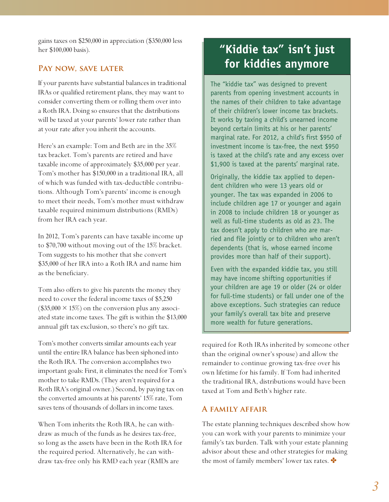gains taxes on \$250,000 in appreciation (\$350,000 less her \$100,000 basis).

#### PAY NOW, SAVE LATER

If your parents have substantial balances in traditional IRAs or qualified retirement plans, they may want to consider converting them or rolling them over into a Roth IRA. Doing so ensures that the distributions will be taxed at your parents' lower rate rather than at your rate after you inherit the accounts.

Here's an example: Tom and Beth are in the 35% tax bracket. Tom's parents are retired and have taxable income of approximately \$35,000 per year. Tom's mother has \$150,000 in a traditional IRA, all of which was funded with tax-deductible contributions. Although Tom's parents' income is enough to meet their needs, Tom's mother must withdraw taxable required minimum distributions (RMDs) from her IRA each year.

In 2012, Tom's parents can have taxable income up to \$70,700 without moving out of the 15% bracket. Tom suggests to his mother that she convert \$35,000 of her IRA into a Roth IRA and name him as the beneficiary.

Tom also offers to give his parents the money they need to cover the federal income taxes of \$5,250  $($35,000 \times 15\%)$  on the conversion plus any associated state income taxes. The gift is within the \$13,000 annual gift tax exclusion, so there's no gift tax.

Tom's mother converts similar amounts each year until the entire IRA balance has been siphoned into the Roth IRA. The conversion accomplishes two important goals: First, it eliminates the need for Tom's mother to take RMDs. (They aren't required for a Roth IRA's original owner.) Second, by paying tax on the converted amounts at his parents' 15% rate, Tom saves tens of thousands of dollars in income taxes.

When Tom inherits the Roth IRA, he can withdraw as much of the funds as he desires tax-free, so long as the assets have been in the Roth IRA for the required period. Alternatively, he can withdraw tax-free only his RMD each year (RMDs are

### **"Kiddie tax" isn't just for kiddies anymore**

The "kiddie tax" was designed to prevent parents from opening investment accounts in the names of their children to take advantage of their children's lower income tax brackets. It works by taxing a child's unearned income beyond certain limits at his or her parents' marginal rate. For 2012, a child's first \$950 of investment income is tax-free, the next \$950 is taxed at the child's rate and any excess over \$1,900 is taxed at the parents' marginal rate.

Originally, the kiddie tax applied to dependent children who were 13 years old or younger. The tax was expanded in 2006 to include children age 17 or younger and again in 2008 to include children 18 or younger as well as full-time students as old as 23. The tax doesn't apply to children who are married and file jointly or to children who aren't dependents (that is, whose earned income provides more than half of their support).

Even with the expanded kiddie tax, you still may have income shifting opportunities if your children are age 19 or older (24 or older for full-time students) or fall under one of the above exceptions. Such strategies can reduce your family's overall tax bite and preserve more wealth for future generations.

required for Roth IRAs inherited by someone other than the original owner's spouse) and allow the remainder to continue growing tax-free over his own lifetime for his family. If Tom had inherited the traditional IRA, distributions would have been taxed at Tom and Beth's higher rate.

#### **A family affair**

The estate planning techniques described show how you can work with your parents to minimize your family's tax burden. Talk with your estate planning advisor about these and other strategies for making the most of family members' lower tax rates.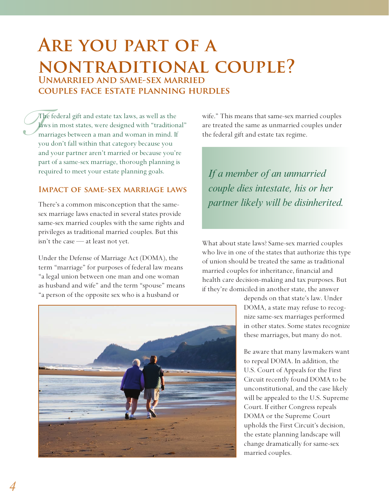# **Are you part of a nontraditional couple? Unmarried and same-sex married couples face estate planning hurdles**

*T* The federal gift and estate tax laws, as well as the laws in most states, were designed with "traditional" marriages between a man and woman in mind. If you don't fall within that category because you and your partner aren't married or because you're part of a same-sex marriage, thorough planning is required to meet your estate planning goals.

#### **Impact of same-sex marriage laws**

There's a common misconception that the samesex marriage laws enacted in several states provide same-sex married couples with the same rights and privileges as traditional married couples. But this isn't the case — at least not yet.

Under the Defense of Marriage Act (DOMA), the term "marriage" for purposes of federal law means "a legal union between one man and one woman as husband and wife" and the term "spouse" means "a person of the opposite sex who is a husband or

wife." This means that same-sex married couples are treated the same as unmarried couples under the federal gift and estate tax regime.

*If a member of an unmarried couple dies intestate, his or her partner likely will be disinherited.*

What about state laws? Same-sex married couples who live in one of the states that authorize this type of union should be treated the same as traditional married couples for inheritance, financial and health care decision-making and tax purposes. But if they're domiciled in another state, the answer



depends on that state's law. Under DOMA, a state may refuse to recognize same-sex marriages performed in other states. Some states recognize these marriages, but many do not.

Be aware that many lawmakers want to repeal DOMA. In addition, the U.S. Court of Appeals for the First Circuit recently found DOMA to be unconstitutional, and the case likely will be appealed to the U.S. Supreme Court. If either Congress repeals DOMA or the Supreme Court upholds the First Circuit's decision, the estate planning landscape will change dramatically for same-sex married couples.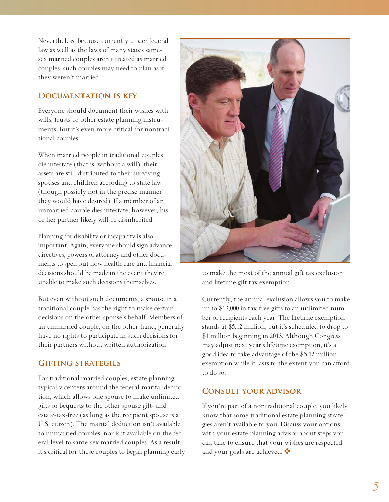Nevertheless, because currently under federal law as well as the laws of many states samesex married couples aren't treated as married couples, such couples may need to plan as if they weren't married.

#### **Documentation is key**

Everyone should document their wishes with wills, trusts or other estate planning instruments. But it's even more critical for nontraditional couples.

When married people in traditional couples die intestate (that is, without a will), their assets are still distributed to their surviving spouses and children according to state law (though possibly not in the precise manner they would have desired). If a member of an unmarried couple dies intestate, however, his or her partner likely will be disinherited.

Planning for disability or incapacity is also important. Again, everyone should sign advance directives, powers of attorney and other documents to spell out how health care and financial decisions should be made in the event they're unable to make such decisions themselves.

But even without such documents, a spouse in a traditional couple has the right to make certain decisions on the other spouse's behalf. Members of an unmarried couple, on the other hand, generally have no rights to participate in such decisions for their partners without written authorization.

#### **Gifting strategies**

For traditional married couples, estate planning typically centers around the federal marital deduction, which allows one spouse to make unlimited gifts or bequests to the other spouse gift- and estate-tax-free (as long as the recipient spouse is a U.S. citizen). The marital deduction isn't available to unmarried couples, nor is it available on the federal level to same-sex married couples. As a result, it's critical for these couples to begin planning early



to make the most of the annual gift tax exclusion and lifetime gift tax exemption.

Currently, the annual exclusion allows you to make up to \$13,000 in tax-free gifts to an unlimited number of recipients each year. The lifetime exemption stands at \$5.12 million, but it's scheduled to drop to \$1 million beginning in 2013. Although Congress may adjust next year's lifetime exemption, it's a good idea to take advantage of the \$5.12 million exemption while it lasts to the extent you can afford to do so.

#### **Consult your advisor**

If you're part of a nontraditional couple, you likely know that some traditional estate planning strategies aren't available to you. Discuss your options with your estate planning advisor about steps you can take to ensure that your wishes are respected and your goals are achieved.  $\clubsuit$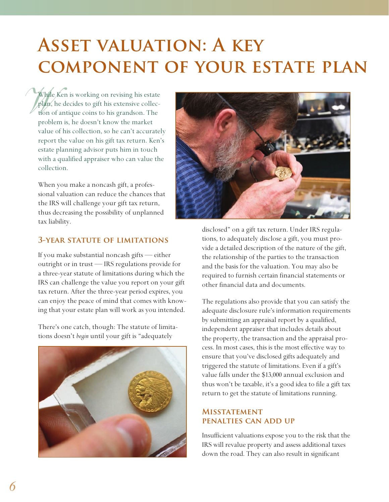# **Asset valuation: A key component of your estate plan**

While While Ken is working on revising his estate plan, he decides to gift his extensive collection of antique coins to his grandson. The problem is, he doesn't know the market value of his collection, so he can't accurately report the value on his gift tax return. Ken's estate planning advisor puts him in touch with a qualified appraiser who can value the collection.

> When you make a noncash gift, a professional valuation can reduce the chances that the IRS will challenge your gift tax return, thus decreasing the possibility of unplanned tax liability.

#### **3-year statute of limitations**

If you make substantial noncash gifts — either outright or in trust — IRS regulations provide for a three-year statute of limitations during which the IRS can challenge the value you report on your gift tax return. After the three-year period expires, you can enjoy the peace of mind that comes with knowing that your estate plan will work as you intended.

There's one catch, though: The statute of limitations doesn't *begin* until your gift is "adequately





disclosed" on a gift tax return. Under IRS regulations, to adequately disclose a gift, you must provide a detailed description of the nature of the gift, the relationship of the parties to the transaction and the basis for the valuation. You may also be required to furnish certain financial statements or other financial data and documents.

The regulations also provide that you can satisfy the adequate disclosure rule's information requirements by submitting an appraisal report by a qualified, independent appraiser that includes details about the property, the transaction and the appraisal process. In most cases, this is the most effective way to ensure that you've disclosed gifts adequately and triggered the statute of limitations. Even if a gift's value falls under the \$13,000 annual exclusion and thus won't be taxable, it's a good idea to file a gift tax return to get the statute of limitations running.

#### **Misstatement penalties can add up**

Insufficient valuations expose you to the risk that the IRS will revalue property and assess additional taxes down the road. They can also result in significant